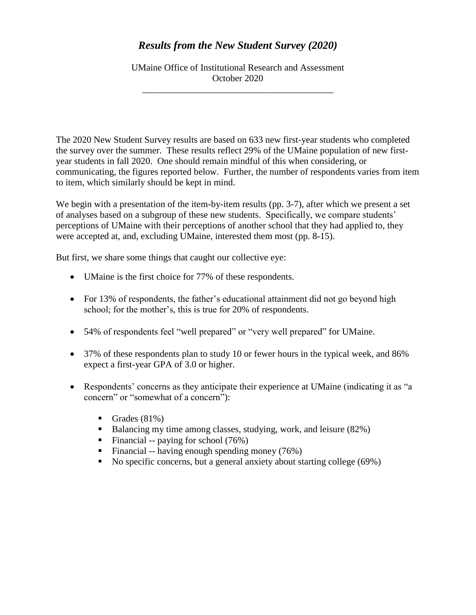## *Results from the New Student Survey (2020)*

UMaine Office of Institutional Research and Assessment October 2020

\_\_\_\_\_\_\_\_\_\_\_\_\_\_\_\_\_\_\_\_\_\_\_\_\_\_\_\_\_\_\_\_\_\_\_\_\_\_\_\_\_

The 2020 New Student Survey results are based on 633 new first-year students who completed the survey over the summer. These results reflect 29% of the UMaine population of new firstyear students in fall 2020. One should remain mindful of this when considering, or communicating, the figures reported below. Further, the number of respondents varies from item to item, which similarly should be kept in mind.

We begin with a presentation of the item-by-item results (pp. 3-7), after which we present a set of analyses based on a subgroup of these new students. Specifically, we compare students' perceptions of UMaine with their perceptions of another school that they had applied to, they were accepted at, and, excluding UMaine, interested them most (pp. 8-15).

But first, we share some things that caught our collective eye:

- UMaine is the first choice for 77% of these respondents.
- For 13% of respondents, the father's educational attainment did not go beyond high school; for the mother's, this is true for 20% of respondents.
- 54% of respondents feel "well prepared" or "very well prepared" for UMaine.
- 37% of these respondents plan to study 10 or fewer hours in the typical week, and 86% expect a first-year GPA of 3.0 or higher.
- Respondents' concerns as they anticipate their experience at UMaine (indicating it as "a concern" or "somewhat of a concern"):
	- Grades  $(81\%)$
	- Balancing my time among classes, studying, work, and leisure (82%)
	- Financial -- paying for school  $(76%)$
	- Financial -- having enough spending money  $(76%)$
	- No specific concerns, but a general anxiety about starting college (69%)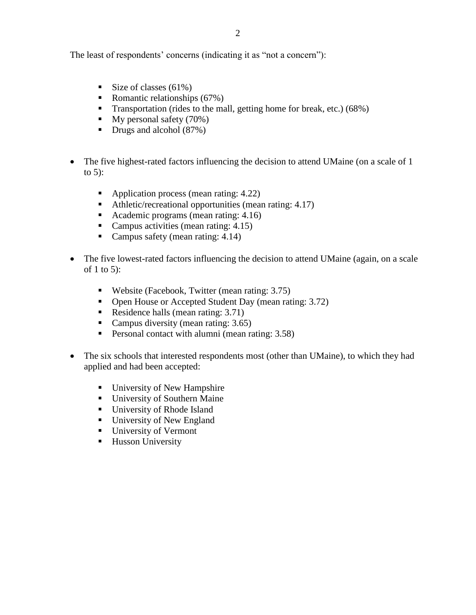The least of respondents' concerns (indicating it as "not a concern"):

- Size of classes  $(61\%)$
- Romantic relationships  $(67%)$
- **Transportation** (rides to the mall, getting home for break, etc.)  $(68\%)$
- $\blacksquare$  My personal safety (70%)
- Drugs and alcohol (87%)
- The five highest-rated factors influencing the decision to attend UMaine (on a scale of 1 to  $5$ :
	- Application process (mean rating: 4.22)
	- Athletic/recreational opportunities (mean rating: 4.17)
	- Academic programs (mean rating: 4.16)
	- Campus activities (mean rating: 4.15)
	- Campus safety (mean rating: 4.14)
- The five lowest-rated factors influencing the decision to attend UMaine (again, on a scale of 1 to 5):
	- Website (Facebook, Twitter (mean rating: 3.75)
	- Open House or Accepted Student Day (mean rating: 3.72)
	- Residence halls (mean rating: 3.71)
	- Campus diversity (mean rating: 3.65)
	- **Personal contact with alumni (mean rating: 3.58)**
- The six schools that interested respondents most (other than UMaine), to which they had applied and had been accepted:
	- University of New Hampshire
	- **University of Southern Maine**
	- **University of Rhode Island**
	- University of New England
	- University of Vermont
	- **Husson University**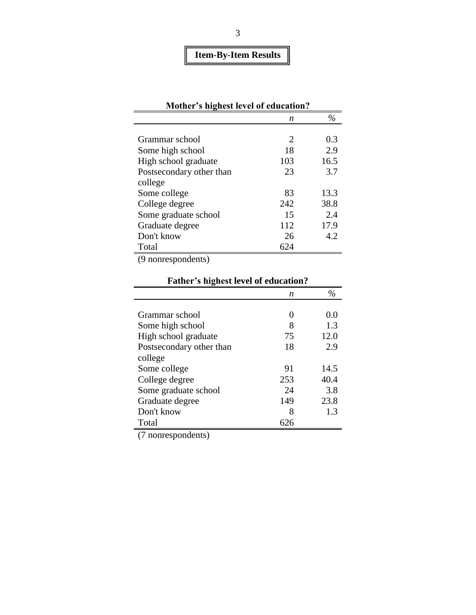# **Item-By-Item Results**

| Mother's highest level of education? |                             |      |
|--------------------------------------|-----------------------------|------|
|                                      | n                           | $\%$ |
|                                      |                             |      |
| Grammar school                       | $\mathcal{D}_{\mathcal{L}}$ | 0.3  |
| Some high school                     | 18                          | 2.9  |
| High school graduate                 | 103                         | 16.5 |
| Postsecondary other than             | 23                          | 3.7  |
| college                              |                             |      |
| Some college                         | 83                          | 13.3 |
| College degree                       | 242                         | 38.8 |
| Some graduate school                 | 15                          | 2.4  |
| Graduate degree                      | 112                         | 17.9 |
| Don't know                           | 26                          | 4.2  |
| Total                                | 624                         |      |

(9 nonrespondents)

|                          | n   | $\frac{o}{c}$ |
|--------------------------|-----|---------------|
|                          |     |               |
| Grammar school           |     | 0.0           |
| Some high school         | 8   | 1.3           |
| High school graduate     | 75  | 12.0          |
| Postsecondary other than | 18  | 2.9           |
| college                  |     |               |
| Some college             | 91  | 14.5          |
| College degree           | 253 | 40.4          |
| Some graduate school     | 24  | 3.8           |
| Graduate degree          | 149 | 23.8          |
| Don't know               | 8   | 1.3           |
| Total                    |     |               |

## **Father's highest level of education?**

(7 nonrespondents)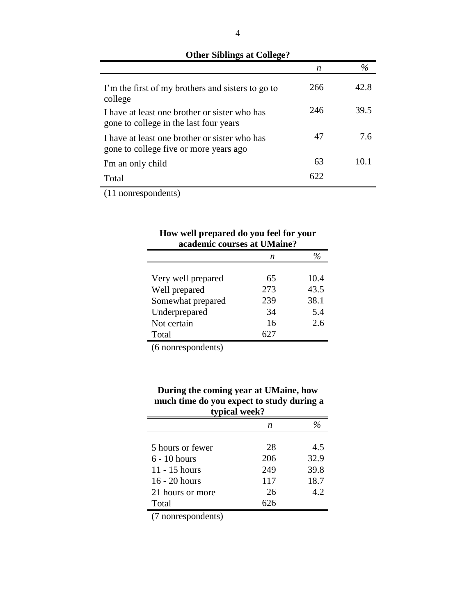| $\frac{1}{2}$                                                                           |     |               |
|-----------------------------------------------------------------------------------------|-----|---------------|
|                                                                                         | n   | $\frac{0}{0}$ |
| I'm the first of my brothers and sisters to go to<br>college                            | 266 | 42.8          |
| I have at least one brother or sister who has<br>gone to college in the last four years | 246 | 39.5          |
| I have at least one brother or sister who has<br>gone to college five or more years ago | 47  | 7.6           |
| I'm an only child                                                                       | 63  | 10.1          |
| Total                                                                                   | 622 |               |

#### **Other Siblings at College?**

(11 nonrespondents)

| How well prepared do you feel for your<br>academic courses at UMaine? |     |               |  |  |  |
|-----------------------------------------------------------------------|-----|---------------|--|--|--|
|                                                                       | n   | $\frac{o}{c}$ |  |  |  |
| Very well prepared                                                    | 65  | 10.4          |  |  |  |
| Well prepared                                                         | 273 | 43.5          |  |  |  |
| Somewhat prepared                                                     | 239 | 38.1          |  |  |  |
| Underprepared                                                         | 34  | 5.4           |  |  |  |
| Not certain                                                           | 16  | 2.6           |  |  |  |
| Total                                                                 |     |               |  |  |  |

(6 nonrespondents)

#### **During the coming year at UMaine, how much time do you expect to study during a typical week?**

|                  | n   |      |
|------------------|-----|------|
|                  |     |      |
| 5 hours or fewer | 28  | 4.5  |
| $6 - 10$ hours   | 206 | 32.9 |
| 11 - 15 hours    | 249 | 39.8 |
| 16 - 20 hours    | 117 | 18.7 |
| 21 hours or more | 26  | 4.2  |
| Total            | 526 |      |

(7 nonrespondents)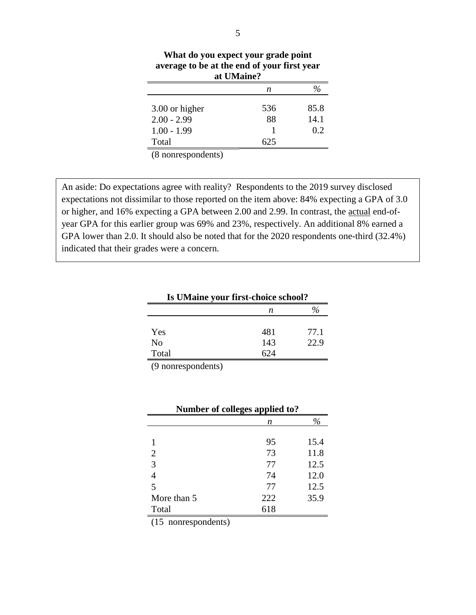| What do you expect your grade point<br>average to be at the end of your first year<br>at UMaine? |      |      |  |  |
|--------------------------------------------------------------------------------------------------|------|------|--|--|
|                                                                                                  | n    |      |  |  |
| 3.00 or higher                                                                                   | 536  | 85.8 |  |  |
| $2.00 - 2.99$                                                                                    | 88   | 14.1 |  |  |
| $1.00 - 1.99$                                                                                    |      | 0.2  |  |  |
| Total                                                                                            | ר גו |      |  |  |

(8 nonrespondents)

An aside: Do expectations agree with reality? Respondents to the 2019 survey disclosed expectations not dissimilar to those reported on the item above: 84% expecting a GPA of 3.0 or higher, and 16% expecting a GPA between 2.00 and 2.99. In contrast, the actual end-ofyear GPA for this earlier group was 69% and 23%, respectively. An additional 8% earned a GPA lower than 2.0. It should also be noted that for the 2020 respondents one-third (32.4%) indicated that their grades were a concern.

| Is UMaine your first-choice school? |     |      |  |  |  |
|-------------------------------------|-----|------|--|--|--|
|                                     | n   |      |  |  |  |
| <b>Yes</b>                          | 481 | 77.1 |  |  |  |
| N <sub>0</sub>                      | 143 | 22.9 |  |  |  |
| Total                               | 624 |      |  |  |  |
|                                     |     |      |  |  |  |

(9 nonrespondents)

| Number of colleges applied to? |     |      |  |  |  |
|--------------------------------|-----|------|--|--|--|
|                                | n   |      |  |  |  |
|                                |     |      |  |  |  |
|                                | 95  | 15.4 |  |  |  |
| $\overline{2}$                 | 73  | 11.8 |  |  |  |
| 3                              | 77  | 12.5 |  |  |  |
| 4                              | 74  | 12.0 |  |  |  |
| 5                              | 77  | 12.5 |  |  |  |
| More than 5                    | 222 | 35.9 |  |  |  |
| Total                          | 618 |      |  |  |  |

(15 nonrespondents)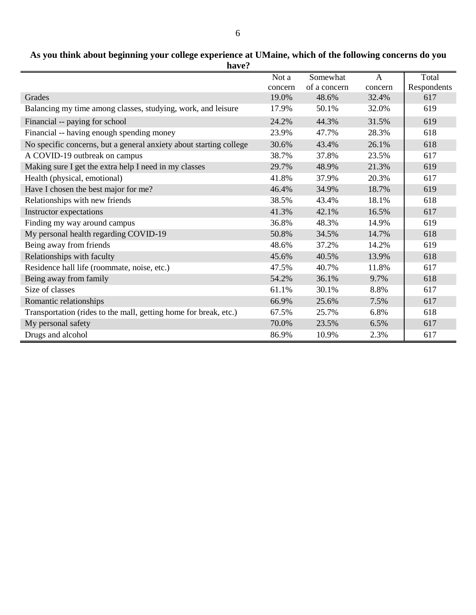#### **As you think about beginning your college experience at UMaine, which of the following concerns do you have?**

|                                                                    | Not a   | Somewhat     | A       | Total       |
|--------------------------------------------------------------------|---------|--------------|---------|-------------|
|                                                                    | concern | of a concern | concern | Respondents |
| Grades                                                             | 19.0%   | 48.6%        | 32.4%   | 617         |
| Balancing my time among classes, studying, work, and leisure       | 17.9%   | 50.1%        | 32.0%   | 619         |
| Financial -- paying for school                                     | 24.2%   | 44.3%        | 31.5%   | 619         |
| Financial -- having enough spending money                          | 23.9%   | 47.7%        | 28.3%   | 618         |
| No specific concerns, but a general anxiety about starting college | 30.6%   | 43.4%        | 26.1%   | 618         |
| A COVID-19 outbreak on campus                                      | 38.7%   | 37.8%        | 23.5%   | 617         |
| Making sure I get the extra help I need in my classes              | 29.7%   | 48.9%        | 21.3%   | 619         |
| Health (physical, emotional)                                       | 41.8%   | 37.9%        | 20.3%   | 617         |
| Have I chosen the best major for me?                               | 46.4%   | 34.9%        | 18.7%   | 619         |
| Relationships with new friends                                     | 38.5%   | 43.4%        | 18.1%   | 618         |
| Instructor expectations                                            | 41.3%   | 42.1%        | 16.5%   | 617         |
| Finding my way around campus                                       | 36.8%   | 48.3%        | 14.9%   | 619         |
| My personal health regarding COVID-19                              | 50.8%   | 34.5%        | 14.7%   | 618         |
| Being away from friends                                            | 48.6%   | 37.2%        | 14.2%   | 619         |
| Relationships with faculty                                         | 45.6%   | 40.5%        | 13.9%   | 618         |
| Residence hall life (roommate, noise, etc.)                        | 47.5%   | 40.7%        | 11.8%   | 617         |
| Being away from family                                             | 54.2%   | 36.1%        | 9.7%    | 618         |
| Size of classes                                                    | 61.1%   | 30.1%        | 8.8%    | 617         |
| Romantic relationships                                             | 66.9%   | 25.6%        | 7.5%    | 617         |
| Transportation (rides to the mall, getting home for break, etc.)   | 67.5%   | 25.7%        | 6.8%    | 618         |
| My personal safety                                                 | 70.0%   | 23.5%        | 6.5%    | 617         |
| Drugs and alcohol                                                  | 86.9%   | 10.9%        | 2.3%    | 617         |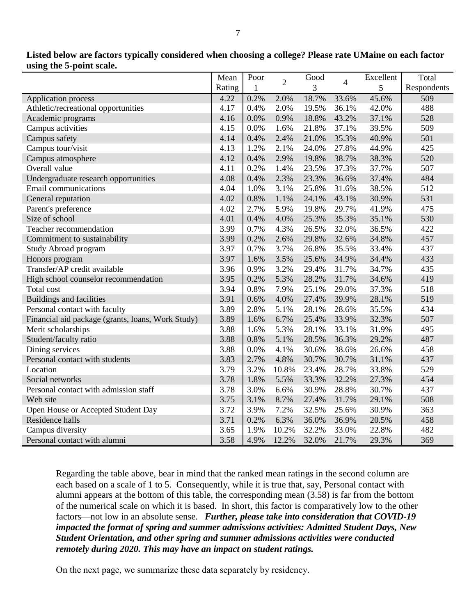|                                                   | Mean   | Poor | $\overline{2}$ | Good  | $\overline{\mathcal{L}}$ | Excellent | Total       |
|---------------------------------------------------|--------|------|----------------|-------|--------------------------|-----------|-------------|
|                                                   | Rating | 1    |                | 3     |                          | 5         | Respondents |
| <b>Application process</b>                        | 4.22   | 0.2% | 2.0%           | 18.7% | 33.6%                    | 45.6%     | 509         |
| Athletic/recreational opportunities               | 4.17   | 0.4% | 2.0%           | 19.5% | 36.1%                    | 42.0%     | 488         |
| Academic programs                                 | 4.16   | 0.0% | 0.9%           | 18.8% | 43.2%                    | 37.1%     | 528         |
| Campus activities                                 | 4.15   | 0.0% | 1.6%           | 21.8% | 37.1%                    | 39.5%     | 509         |
| Campus safety                                     | 4.14   | 0.4% | 2.4%           | 21.0% | 35.3%                    | 40.9%     | 501         |
| Campus tour/visit                                 | 4.13   | 1.2% | 2.1%           | 24.0% | 27.8%                    | 44.9%     | 425         |
| Campus atmosphere                                 | 4.12   | 0.4% | 2.9%           | 19.8% | 38.7%                    | 38.3%     | 520         |
| Overall value                                     | 4.11   | 0.2% | 1.4%           | 23.5% | 37.3%                    | 37.7%     | 507         |
| Undergraduate research opportunities              | 4.08   | 0.4% | 2.3%           | 23.3% | 36.6%                    | 37.4%     | 484         |
| <b>Email</b> communications                       | 4.04   | 1.0% | 3.1%           | 25.8% | 31.6%                    | 38.5%     | 512         |
| General reputation                                | 4.02   | 0.8% | 1.1%           | 24.1% | 43.1%                    | 30.9%     | 531         |
| Parent's preference                               | 4.02   | 2.7% | 5.9%           | 19.8% | 29.7%                    | 41.9%     | 475         |
| Size of school                                    | 4.01   | 0.4% | 4.0%           | 25.3% | 35.3%                    | 35.1%     | 530         |
| Teacher recommendation                            | 3.99   | 0.7% | 4.3%           | 26.5% | 32.0%                    | 36.5%     | 422         |
| Commitment to sustainability                      | 3.99   | 0.2% | 2.6%           | 29.8% | 32.6%                    | 34.8%     | 457         |
| Study Abroad program                              | 3.97   | 0.7% | 3.7%           | 26.8% | 35.5%                    | 33.4%     | 437         |
| Honors program                                    | 3.97   | 1.6% | 3.5%           | 25.6% | 34.9%                    | 34.4%     | 433         |
| Transfer/AP credit available                      | 3.96   | 0.9% | 3.2%           | 29.4% | 31.7%                    | 34.7%     | 435         |
| High school counselor recommendation              | 3.95   | 0.2% | 5.3%           | 28.2% | 31.7%                    | 34.6%     | 419         |
| Total cost                                        | 3.94   | 0.8% | 7.9%           | 25.1% | 29.0%                    | 37.3%     | 518         |
| <b>Buildings and facilities</b>                   | 3.91   | 0.6% | 4.0%           | 27.4% | 39.9%                    | 28.1%     | 519         |
| Personal contact with faculty                     | 3.89   | 2.8% | 5.1%           | 28.1% | 28.6%                    | 35.5%     | 434         |
| Financial aid package (grants, loans, Work Study) | 3.89   | 1.6% | 6.7%           | 25.4% | 33.9%                    | 32.3%     | 507         |
| Merit scholarships                                | 3.88   | 1.6% | 5.3%           | 28.1% | 33.1%                    | 31.9%     | 495         |
| Student/faculty ratio                             | 3.88   | 0.8% | 5.1%           | 28.5% | 36.3%                    | 29.2%     | 487         |
| Dining services                                   | 3.88   | 0.0% | 4.1%           | 30.6% | 38.6%                    | 26.6%     | 458         |
| Personal contact with students                    | 3.83   | 2.7% | 4.8%           | 30.7% | 30.7%                    | 31.1%     | 437         |
| Location                                          | 3.79   | 3.2% | 10.8%          | 23.4% | 28.7%                    | 33.8%     | 529         |
| Social networks                                   | 3.78   | 1.8% | 5.5%           | 33.3% | 32.2%                    | 27.3%     | 454         |
| Personal contact with admission staff             | 3.78   | 3.0% | 6.6%           | 30.9% | 28.8%                    | 30.7%     | 437         |
| Web site                                          | 3.75   | 3.1% | 8.7%           | 27.4% | 31.7%                    | 29.1%     | 508         |
| Open House or Accepted Student Day                | 3.72   | 3.9% | 7.2%           | 32.5% | 25.6%                    | 30.9%     | 363         |
| Residence halls                                   | 3.71   | 0.2% | 6.3%           | 36.0% | 36.9%                    | 20.5%     | 458         |
| Campus diversity                                  | 3.65   | 1.9% | 10.2%          | 32.2% | 33.0%                    | 22.8%     | 482         |
| Personal contact with alumni                      | 3.58   | 4.9% | 12.2%          | 32.0% | 21.7%                    | 29.3%     | 369         |

**Listed below are factors typically considered when choosing a college? Please rate UMaine on each factor using the 5-point scale.**

Regarding the table above, bear in mind that the ranked mean ratings in the second column are each based on a scale of 1 to 5. Consequently, while it is true that, say, Personal contact with alumni appears at the bottom of this table, the corresponding mean (3.58) is far from the bottom of the numerical scale on which it is based. In short, this factor is comparatively low to the other factors—not low in an absolute sense. *Further, please take into consideration that COVID-19 impacted the format of spring and summer admissions activities: Admitted Student Days, New Student Orientation, and other spring and summer admissions activities were conducted remotely during 2020. This may have an impact on student ratings.*

On the next page, we summarize these data separately by residency.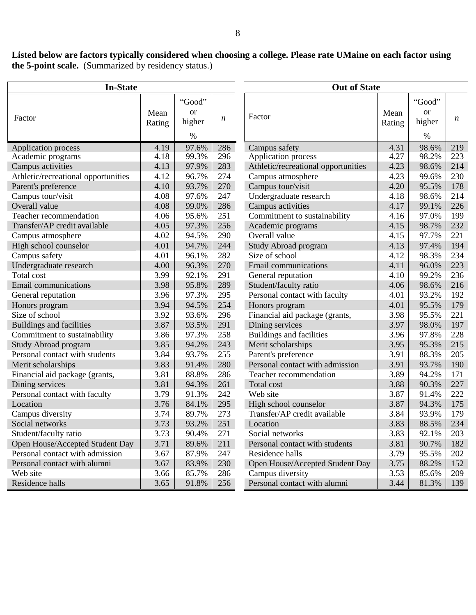**Listed below are factors typically considered when choosing a college. Please rate UMaine on each factor using the 5-point scale.** (Summarized by residency status.)

| <b>In-State</b>                     |        | <b>Out of State</b> |     |                                     |        |                         |     |
|-------------------------------------|--------|---------------------|-----|-------------------------------------|--------|-------------------------|-----|
|                                     | Mean   | "Good"<br><b>or</b> |     |                                     | Mean   | "Good"<br><sub>or</sub> |     |
| Factor                              | Rating | higher              | n   | Factor                              | Rating | higher                  | n   |
|                                     |        | $\%$                |     |                                     |        | $\%$                    |     |
| <b>Application process</b>          | 4.19   | 97.6%               | 286 | Campus safety                       | 4.31   | 98.6%                   | 219 |
| Academic programs                   | 4.18   | 99.3%               | 296 | <b>Application process</b>          | 4.27   | 98.2%                   | 223 |
| Campus activities                   | 4.13   | 97.9%               | 283 | Athletic/recreational opportunities | 4.23   | 98.6%                   | 214 |
| Athletic/recreational opportunities | 4.12   | 96.7%               | 274 | Campus atmosphere                   | 4.23   | 99.6%                   | 230 |
| Parent's preference                 | 4.10   | 93.7%               | 270 | Campus tour/visit                   | 4.20   | 95.5%                   | 178 |
| Campus tour/visit                   | 4.08   | 97.6%               | 247 | Undergraduate research              | 4.18   | 98.6%                   | 214 |
| Overall value                       | 4.08   | 99.0%               | 286 | Campus activities                   | 4.17   | 99.1%                   | 226 |
| Teacher recommendation              | 4.06   | 95.6%               | 251 | Commitment to sustainability        | 4.16   | 97.0%                   | 199 |
| Transfer/AP credit available        | 4.05   | 97.3%               | 256 | Academic programs                   | 4.15   | 98.7%                   | 232 |
| Campus atmosphere                   | 4.02   | 94.5%               | 290 | Overall value                       | 4.15   | 97.7%                   | 221 |
| High school counselor               | 4.01   | 94.7%               | 244 | <b>Study Abroad program</b>         | 4.13   | 97.4%                   | 194 |
| Campus safety                       | 4.01   | 96.1%               | 282 | Size of school                      | 4.12   | 98.3%                   | 234 |
| Undergraduate research              | 4.00   | 96.3%               | 270 | <b>Email</b> communications         | 4.11   | 96.0%                   | 223 |
| Total cost                          | 3.99   | 92.1%               | 291 | General reputation                  | 4.10   | 99.2%                   | 236 |
| <b>Email</b> communications         | 3.98   | 95.8%               | 289 | Student/faculty ratio               | 4.06   | 98.6%                   | 216 |
| General reputation                  | 3.96   | 97.3%               | 295 | Personal contact with faculty       | 4.01   | 93.2%                   | 192 |
| Honors program                      | 3.94   | 94.5%               | 254 | Honors program                      | 4.01   | 95.5%                   | 179 |
| Size of school                      | 3.92   | 93.6%               | 296 | Financial aid package (grants,      | 3.98   | 95.5%                   | 221 |
| <b>Buildings and facilities</b>     | 3.87   | 93.5%               | 291 | Dining services                     | 3.97   | 98.0%                   | 197 |
| Commitment to sustainability        | 3.86   | 97.3%               | 258 | <b>Buildings and facilities</b>     | 3.96   | 97.8%                   | 228 |
| Study Abroad program                | 3.85   | 94.2%               | 243 | Merit scholarships                  | 3.95   | 95.3%                   | 215 |
| Personal contact with students      | 3.84   | 93.7%               | 255 | Parent's preference                 | 3.91   | 88.3%                   | 205 |
| Merit scholarships                  | 3.83   | 91.4%               | 280 | Personal contact with admission     | 3.91   | 93.7%                   | 190 |
| Financial aid package (grants,      | 3.81   | 88.8%               | 286 | Teacher recommendation              | 3.89   | 94.2%                   | 171 |
| Dining services                     | 3.81   | 94.3%               | 261 | Total cost                          | 3.88   | 90.3%                   | 227 |
| Personal contact with faculty       | 3.79   | 91.3%               | 242 | Web site                            | 3.87   | 91.4%                   | 222 |
| Location                            | 3.76   | 84.1%               | 295 | High school counselor               | 3.87   | 94.3%                   | 175 |
| Campus diversity                    | 3.74   | 89.7%               | 273 | Transfer/AP credit available        | 3.84   | 93.9%                   | 179 |
| Social networks                     | 3.73   | 93.2%               | 251 | Location                            | 3.83   | 88.5%                   | 234 |
| Student/faculty ratio               | 3.73   | 90.4%               | 271 | Social networks                     | 3.83   | 92.1%                   | 203 |
| Open House/Accepted Student Day     | 3.71   | 89.6%               | 211 | Personal contact with students      | 3.81   | 90.7%                   | 182 |
| Personal contact with admission     | 3.67   | 87.9%               | 247 | Residence halls                     | 3.79   | 95.5%                   | 202 |
| Personal contact with alumni        | 3.67   | 83.9%               | 230 | Open House/Accepted Student Day     | 3.75   | 88.2%                   | 152 |
| Web site                            | 3.66   | 85.7%               | 286 | Campus diversity                    | 3.53   | 85.6%                   | 209 |
| Residence halls                     | 3.65   | 91.8%               | 256 | Personal contact with alumni        | 3.44   | 81.3%                   | 139 |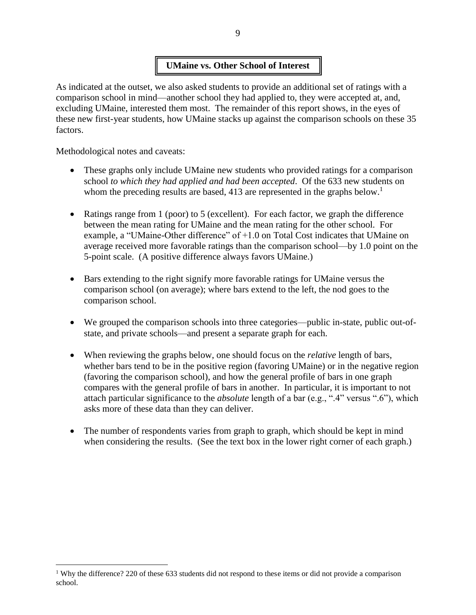### **UMaine vs. Other School of Interest**

As indicated at the outset, we also asked students to provide an additional set of ratings with a comparison school in mind—another school they had applied to, they were accepted at, and, excluding UMaine, interested them most. The remainder of this report shows, in the eyes of these new first-year students, how UMaine stacks up against the comparison schools on these 35 factors.

Methodological notes and caveats:

 $\overline{a}$ 

- These graphs only include UMaine new students who provided ratings for a comparison school *to which they had applied and had been accepted*. Of the 633 new students on whom the preceding results are based, 413 are represented in the graphs below.<sup>1</sup>
- Ratings range from 1 (poor) to 5 (excellent). For each factor, we graph the difference between the mean rating for UMaine and the mean rating for the other school. For example, a "UMaine-Other difference" of +1.0 on Total Cost indicates that UMaine on average received more favorable ratings than the comparison school—by 1.0 point on the 5-point scale. (A positive difference always favors UMaine.)
- Bars extending to the right signify more favorable ratings for UMaine versus the comparison school (on average); where bars extend to the left, the nod goes to the comparison school.
- We grouped the comparison schools into three categories—public in-state, public out-ofstate, and private schools—and present a separate graph for each.
- When reviewing the graphs below, one should focus on the *relative* length of bars, whether bars tend to be in the positive region (favoring UMaine) or in the negative region (favoring the comparison school), and how the general profile of bars in one graph compares with the general profile of bars in another. In particular, it is important to not attach particular significance to the *absolute* length of a bar (e.g., ".4" versus ".6"), which asks more of these data than they can deliver.
- The number of respondents varies from graph to graph, which should be kept in mind when considering the results. (See the text box in the lower right corner of each graph.)

<sup>&</sup>lt;sup>1</sup> Why the difference? 220 of these 633 students did not respond to these items or did not provide a comparison school.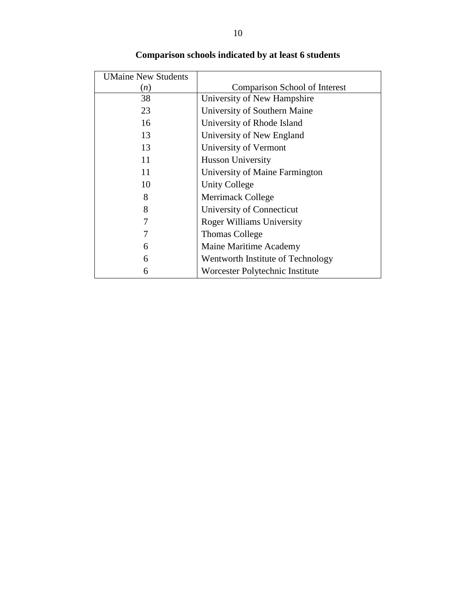| <b>UMaine New Students</b> |                                      |
|----------------------------|--------------------------------------|
| (n)                        | <b>Comparison School of Interest</b> |
| 38                         | University of New Hampshire          |
| 23                         | University of Southern Maine         |
| 16                         | University of Rhode Island           |
| 13                         | University of New England            |
| 13                         | University of Vermont                |
| 11                         | <b>Husson University</b>             |
| 11                         | University of Maine Farmington       |
| 10                         | <b>Unity College</b>                 |
| 8                          | Merrimack College                    |
| 8                          | University of Connecticut            |
|                            | <b>Roger Williams University</b>     |
|                            | <b>Thomas College</b>                |
| 6                          | Maine Maritime Academy               |
| 6                          | Wentworth Institute of Technology    |
| 6                          | Worcester Polytechnic Institute      |

## **Comparison schools indicated by at least 6 students**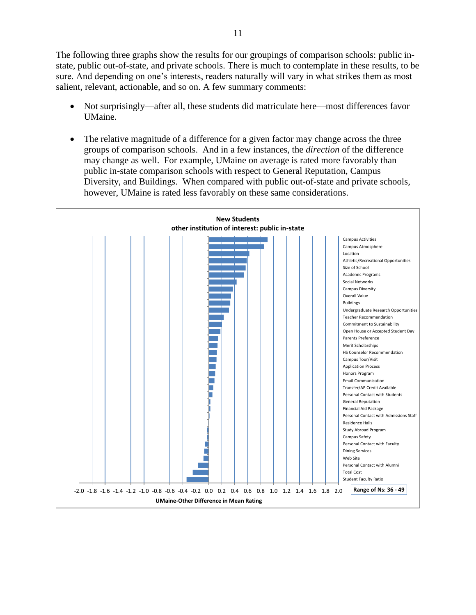The following three graphs show the results for our groupings of comparison schools: public instate, public out-of-state, and private schools. There is much to contemplate in these results, to be sure. And depending on one's interests, readers naturally will vary in what strikes them as most salient, relevant, actionable, and so on. A few summary comments:

- Not surprisingly—after all, these students did matriculate here—most differences favor UMaine.
- The relative magnitude of a difference for a given factor may change across the three groups of comparison schools. And in a few instances, the *direction* of the difference may change as well. For example, UMaine on average is rated more favorably than public in-state comparison schools with respect to General Reputation, Campus Diversity, and Buildings. When compared with public out-of-state and private schools, however, UMaine is rated less favorably on these same considerations.